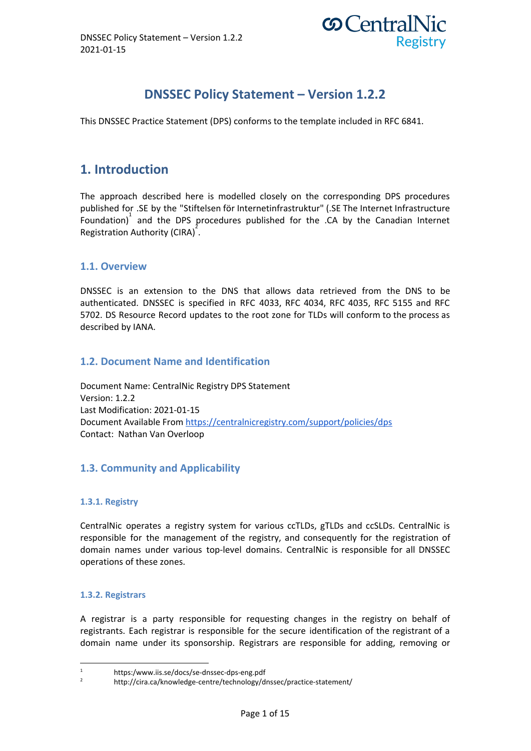

# **DNSSEC Policy Statement – Version 1.2.2**

This DNSSEC Practice Statement (DPS) conforms to the template included in RFC 6841.

# **1. Introduction**

The approach described here is modelled closely on the corresponding DPS procedures published for .SE by the "Stiftelsen för Internetinfrastruktur" (.SE The Internet Infrastructure Foundation)<sup>1</sup> and the DPS procedures published for the .CA by the Canadian Internet Registration Authority (CIRA)<sup>2</sup>.

# **1.1. Overview**

DNSSEC is an extension to the DNS that allows data retrieved from the DNS to be authenticated. DNSSEC is specified in RFC 4033, RFC 4034, RFC 4035, RFC 5155 and RFC 5702. DS Resource Record updates to the root zone for TLDs will conform to the process as described by IANA.

# **1.2. Document Name and Identification**

Document Name: CentralNic Registry DPS Statement Version: 1.2.2 Last Modification: 2021-01-15 Document Available From <https://centralnicregistry.com/support/policies/dps> Contact: Nathan Van Overloop

# **1.3. Community and Applicability**

### **1.3.1. Registry**

CentralNic operates a registry system for various ccTLDs, gTLDs and ccSLDs. CentralNic is responsible for the management of the registry, and consequently for the registration of domain names under various top-level domains. CentralNic is responsible for all DNSSEC operations of these zones.

### **1.3.2. Registrars**

A registrar is a party responsible for requesting changes in the registry on behalf of registrants. Each registrar is responsible for the secure identification of the registrant of a domain name under its sponsorship. Registrars are responsible for adding, removing or

<sup>1</sup> https:/www.iis.se/docs/se-dnssec-dps-eng.pdf

<sup>2</sup> http://cira.ca/knowledge-centre/technology/dnssec/practice-statement/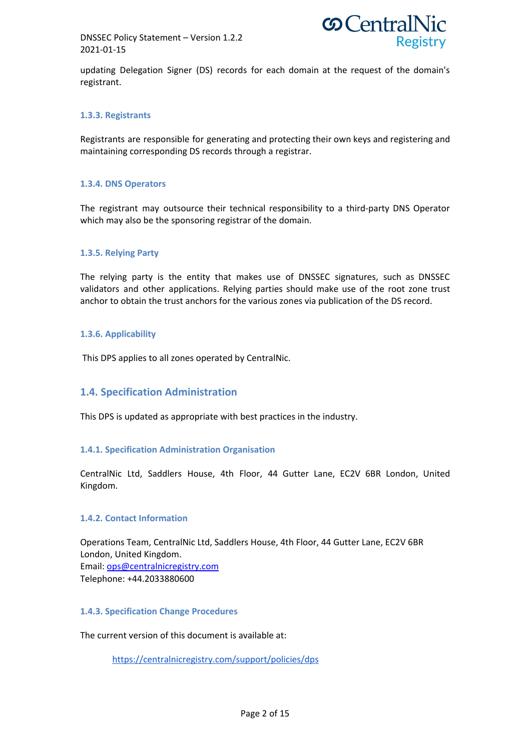DNSSEC Policy Statement – Version 1.2.2 2021-01-15



updating Delegation Signer (DS) records for each domain at the request of the domain's registrant.

### **1.3.3. Registrants**

Registrants are responsible for generating and protecting their own keys and registering and maintaining corresponding DS records through a registrar.

#### **1.3.4. DNS Operators**

The registrant may outsource their technical responsibility to a third-party DNS Operator which may also be the sponsoring registrar of the domain.

#### **1.3.5. Relying Party**

The relying party is the entity that makes use of DNSSEC signatures, such as DNSSEC validators and other applications. Relying parties should make use of the root zone trust anchor to obtain the trust anchors for the various zones via publication of the DS record.

### **1.3.6. Applicability**

This DPS applies to all zones operated by CentralNic.

# **1.4. Specification Administration**

This DPS is updated as appropriate with best practices in the industry.

#### **1.4.1. Specification Administration Organisation**

CentralNic Ltd, Saddlers House, 4th Floor, 44 Gutter Lane, EC2V 6BR London, United Kingdom.

### **1.4.2. Contact Information**

Operations Team, CentralNic Ltd, Saddlers House, 4th Floor, 44 Gutter Lane, EC2V 6BR London, United Kingdom. Email: [ops@centralnicregistry.com](mailto:ops@centralnic.com) Telephone: +44.2033880600

#### **1.4.3. Specification Change Procedures**

The current version of this document is available at:

<https://centralnicregistry.com/support/policies/dps>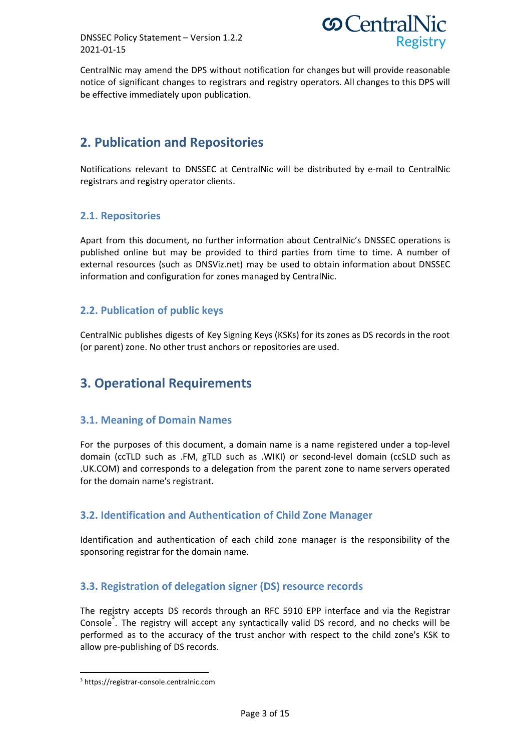DNSSEC Policy Statement – Version 1.2.2 2021-01-15



CentralNic may amend the DPS without notification for changes but will provide reasonable notice of significant changes to registrars and registry operators. All changes to this DPS will be effective immediately upon publication.

# **2. Publication and Repositories**

Notifications relevant to DNSSEC at CentralNic will be distributed by e-mail to CentralNic registrars and registry operator clients.

# **2.1. Repositories**

Apart from this document, no further information about CentralNic's DNSSEC operations is published online but may be provided to third parties from time to time. A number of external resources (such as DNSViz.net) may be used to obtain information about DNSSEC information and configuration for zones managed by CentralNic.

# **2.2. Publication of public keys**

CentralNic publishes digests of Key Signing Keys (KSKs) for its zones as DS records in the root (or parent) zone. No other trust anchors or repositories are used.

# **3. Operational Requirements**

# **3.1. Meaning of Domain Names**

For the purposes of this document, a domain name is a name registered under a top-level domain (ccTLD such as .FM, gTLD such as .WIKI) or second-level domain (ccSLD such as .UK.COM) and corresponds to a delegation from the parent zone to name servers operated for the domain name's registrant.

# **3.2. Identification and Authentication of Child Zone Manager**

Identification and authentication of each child zone manager is the responsibility of the sponsoring registrar for the domain name.

# **3.3. Registration of delegation signer (DS) resource records**

The registry accepts DS records through an RFC 5910 EPP interface and via the Registrar Console<sup>3</sup>. The registry will accept any syntactically valid DS record, and no checks will be performed as to the accuracy of the trust anchor with respect to the child zone's KSK to allow pre-publishing of DS records.

<sup>3</sup> https://registrar-console.centralnic.com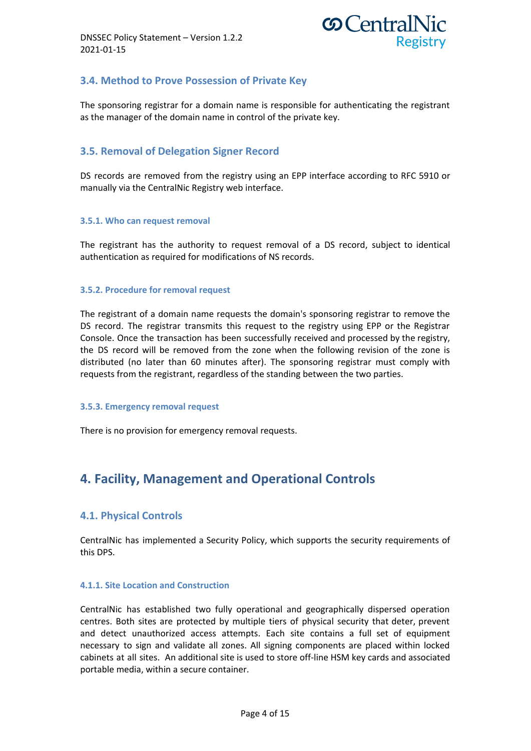

# **3.4. Method to Prove Possession of Private Key**

The sponsoring registrar for a domain name is responsible for authenticating the registrant as the manager of the domain name in control of the private key.

# **3.5. Removal of Delegation Signer Record**

DS records are removed from the registry using an EPP interface according to RFC 5910 or manually via the CentralNic Registry web interface.

### **3.5.1. Who can request removal**

The registrant has the authority to request removal of a DS record, subject to identical authentication as required for modifications of NS records.

### **3.5.2. Procedure for removal request**

The registrant of a domain name requests the domain's sponsoring registrar to remove the DS record. The registrar transmits this request to the registry using EPP or the Registrar Console. Once the transaction has been successfully received and processed by the registry, the DS record will be removed from the zone when the following revision of the zone is distributed (no later than 60 minutes after). The sponsoring registrar must comply with requests from the registrant, regardless of the standing between the two parties.

#### **3.5.3. Emergency removal request**

There is no provision for emergency removal requests.

# **4. Facility, Management and Operational Controls**

# **4.1. Physical Controls**

CentralNic has implemented a Security Policy, which supports the security requirements of this DPS.

#### **4.1.1. Site Location and Construction**

CentralNic has established two fully operational and geographically dispersed operation centres. Both sites are protected by multiple tiers of physical security that deter, prevent and detect unauthorized access attempts. Each site contains a full set of equipment necessary to sign and validate all zones. All signing components are placed within locked cabinets at all sites. An additional site is used to store off-line HSM key cards and associated portable media, within a secure container.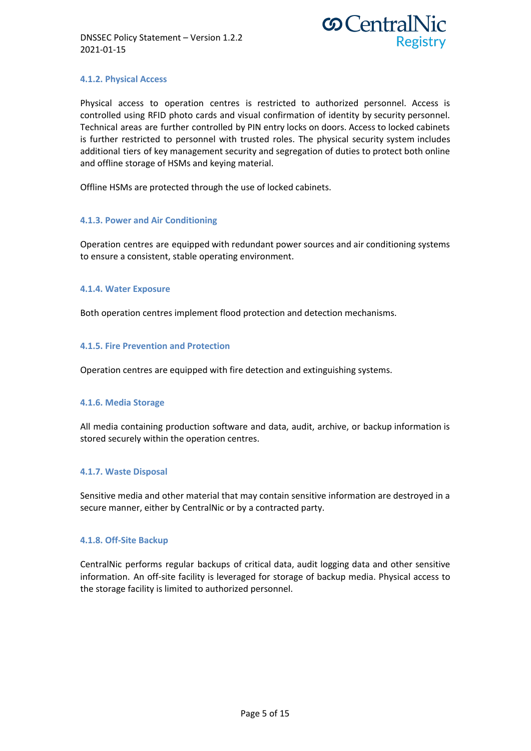

### **4.1.2. Physical Access**

Physical access to operation centres is restricted to authorized personnel. Access is controlled using RFID photo cards and visual confirmation of identity by security personnel. Technical areas are further controlled by PIN entry locks on doors. Access to locked cabinets is further restricted to personnel with trusted roles. The physical security system includes additional tiers of key management security and segregation of duties to protect both online and offline storage of HSMs and keying material.

Offline HSMs are protected through the use of locked cabinets.

### **4.1.3. Power and Air Conditioning**

Operation centres are equipped with redundant power sources and air conditioning systems to ensure a consistent, stable operating environment.

### **4.1.4. Water Exposure**

Both operation centres implement flood protection and detection mechanisms.

### **4.1.5. Fire Prevention and Protection**

Operation centres are equipped with fire detection and extinguishing systems.

### **4.1.6. Media Storage**

All media containing production software and data, audit, archive, or backup information is stored securely within the operation centres.

### **4.1.7. Waste Disposal**

Sensitive media and other material that may contain sensitive information are destroyed in a secure manner, either by CentralNic or by a contracted party.

#### **4.1.8. Off-Site Backup**

CentralNic performs regular backups of critical data, audit logging data and other sensitive information. An off-site facility is leveraged for storage of backup media. Physical access to the storage facility is limited to authorized personnel.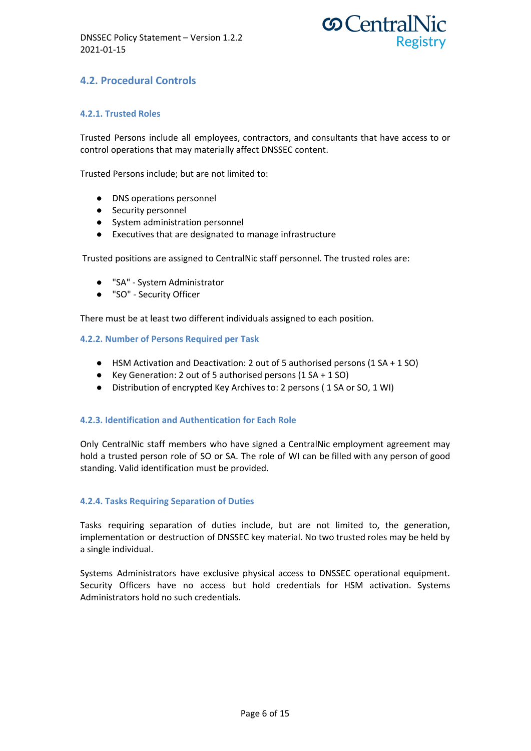

# **4.2. Procedural Controls**

### **4.2.1. Trusted Roles**

Trusted Persons include all employees, contractors, and consultants that have access to or control operations that may materially affect DNSSEC content.

Trusted Persons include; but are not limited to:

- DNS operations personnel
- Security personnel
- System administration personnel
- Executives that are designated to manage infrastructure

Trusted positions are assigned to CentralNic staff personnel. The trusted roles are:

- "SA" System Administrator
- "SO" Security Officer

There must be at least two different individuals assigned to each position.

#### **4.2.2. Number of Persons Required per Task**

- HSM Activation and Deactivation: 2 out of 5 authorised persons (1 SA + 1 SO)
- Key Generation: 2 out of 5 authorised persons (1 SA + 1 SO)
- Distribution of encrypted Key Archives to: 2 persons ( 1 SA or SO, 1 WI)

#### **4.2.3. Identification and Authentication for Each Role**

Only CentralNic staff members who have signed a CentralNic employment agreement may hold a trusted person role of SO or SA. The role of WI can be filled with any person of good standing. Valid identification must be provided.

#### **4.2.4. Tasks Requiring Separation of Duties**

Tasks requiring separation of duties include, but are not limited to, the generation, implementation or destruction of DNSSEC key material. No two trusted roles may be held by a single individual.

Systems Administrators have exclusive physical access to DNSSEC operational equipment. Security Officers have no access but hold credentials for HSM activation. Systems Administrators hold no such credentials.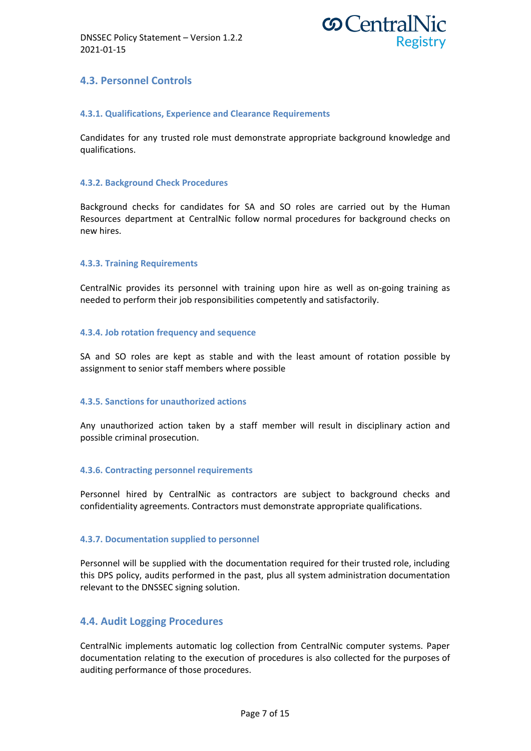

# **4.3. Personnel Controls**

### **4.3.1. Qualifications, Experience and Clearance Requirements**

Candidates for any trusted role must demonstrate appropriate background knowledge and qualifications.

### **4.3.2. Background Check Procedures**

Background checks for candidates for SA and SO roles are carried out by the Human Resources department at CentralNic follow normal procedures for background checks on new hires.

### **4.3.3. Training Requirements**

CentralNic provides its personnel with training upon hire as well as on-going training as needed to perform their job responsibilities competently and satisfactorily.

#### **4.3.4. Job rotation frequency and sequence**

SA and SO roles are kept as stable and with the least amount of rotation possible by assignment to senior staff members where possible

#### **4.3.5. Sanctions for unauthorized actions**

Any unauthorized action taken by a staff member will result in disciplinary action and possible criminal prosecution.

#### **4.3.6. Contracting personnel requirements**

Personnel hired by CentralNic as contractors are subject to background checks and confidentiality agreements. Contractors must demonstrate appropriate qualifications.

#### **4.3.7. Documentation supplied to personnel**

Personnel will be supplied with the documentation required for their trusted role, including this DPS policy, audits performed in the past, plus all system administration documentation relevant to the DNSSEC signing solution.

### **4.4. Audit Logging Procedures**

CentralNic implements automatic log collection from CentralNic computer systems. Paper documentation relating to the execution of procedures is also collected for the purposes of auditing performance of those procedures.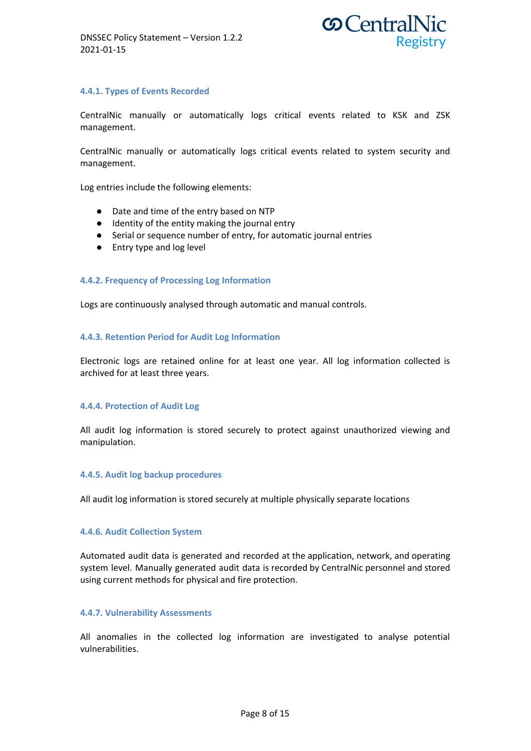

### **4.4.1. Types of Events Recorded**

CentralNic manually or automatically logs critical events related to KSK and ZSK management.

CentralNic manually or automatically logs critical events related to system security and management.

Log entries include the following elements:

- Date and time of the entry based on NTP
- Identity of the entity making the journal entry
- Serial or sequence number of entry, for automatic journal entries
- Entry type and log level

#### **4.4.2. Frequency of Processing Log Information**

Logs are continuously analysed through automatic and manual controls.

#### **4.4.3. Retention Period for Audit Log Information**

Electronic logs are retained online for at least one year. All log information collected is archived for at least three years.

#### **4.4.4. Protection of Audit Log**

All audit log information is stored securely to protect against unauthorized viewing and manipulation.

#### **4.4.5. Audit log backup procedures**

All audit log information is stored securely at multiple physically separate locations

#### **4.4.6. Audit Collection System**

Automated audit data is generated and recorded at the application, network, and operating system level. Manually generated audit data is recorded by CentralNic personnel and stored using current methods for physical and fire protection.

#### **4.4.7. Vulnerability Assessments**

All anomalies in the collected log information are investigated to analyse potential vulnerabilities.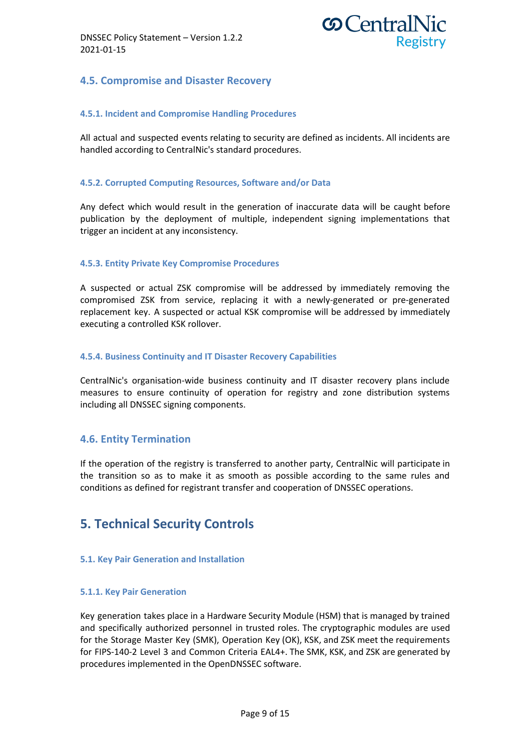

# **4.5. Compromise and Disaster Recovery**

### **4.5.1. Incident and Compromise Handling Procedures**

All actual and suspected events relating to security are defined as incidents. All incidents are handled according to CentralNic's standard procedures.

### **4.5.2. Corrupted Computing Resources, Software and/or Data**

Any defect which would result in the generation of inaccurate data will be caught before publication by the deployment of multiple, independent signing implementations that trigger an incident at any inconsistency.

### **4.5.3. Entity Private Key Compromise Procedures**

A suspected or actual ZSK compromise will be addressed by immediately removing the compromised ZSK from service, replacing it with a newly-generated or pre-generated replacement key. A suspected or actual KSK compromise will be addressed by immediately executing a controlled KSK rollover.

#### **4.5.4. Business Continuity and IT Disaster Recovery Capabilities**

CentralNic's organisation-wide business continuity and IT disaster recovery plans include measures to ensure continuity of operation for registry and zone distribution systems including all DNSSEC signing components.

### **4.6. Entity Termination**

If the operation of the registry is transferred to another party, CentralNic will participate in the transition so as to make it as smooth as possible according to the same rules and conditions as defined for registrant transfer and cooperation of DNSSEC operations.

# **5. Technical Security Controls**

#### **5.1. Key Pair Generation and Installation**

#### **5.1.1. Key Pair Generation**

Key generation takes place in a Hardware Security Module (HSM) that is managed by trained and specifically authorized personnel in trusted roles. The cryptographic modules are used for the Storage Master Key (SMK), Operation Key (OK), KSK, and ZSK meet the requirements for FIPS-140-2 Level 3 and Common Criteria EAL4+. The SMK, KSK, and ZSK are generated by procedures implemented in the OpenDNSSEC software.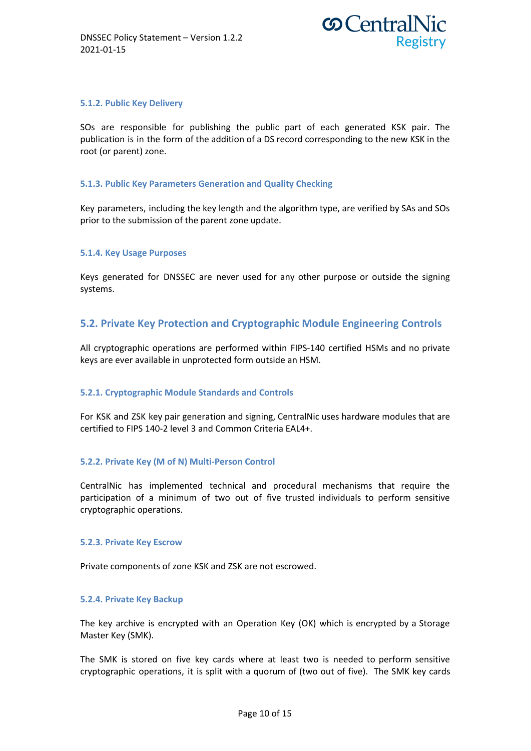

### **5.1.2. Public Key Delivery**

SOs are responsible for publishing the public part of each generated KSK pair. The publication is in the form of the addition of a DS record corresponding to the new KSK in the root (or parent) zone.

### **5.1.3. Public Key Parameters Generation and Quality Checking**

Key parameters, including the key length and the algorithm type, are verified by SAs and SOs prior to the submission of the parent zone update.

#### **5.1.4. Key Usage Purposes**

Keys generated for DNSSEC are never used for any other purpose or outside the signing systems.

# **5.2. Private Key Protection and Cryptographic Module Engineering Controls**

All cryptographic operations are performed within FIPS-140 certified HSMs and no private keys are ever available in unprotected form outside an HSM.

#### **5.2.1. Cryptographic Module Standards and Controls**

For KSK and ZSK key pair generation and signing, CentralNic uses hardware modules that are certified to FIPS 140-2 level 3 and Common Criteria EAL4+.

#### **5.2.2. Private Key (M of N) Multi-Person Control**

CentralNic has implemented technical and procedural mechanisms that require the participation of a minimum of two out of five trusted individuals to perform sensitive cryptographic operations.

#### **5.2.3. Private Key Escrow**

Private components of zone KSK and ZSK are not escrowed.

#### **5.2.4. Private Key Backup**

The key archive is encrypted with an Operation Key (OK) which is encrypted by a Storage Master Key (SMK).

The SMK is stored on five key cards where at least two is needed to perform sensitive cryptographic operations, it is split with a quorum of (two out of five). The SMK key cards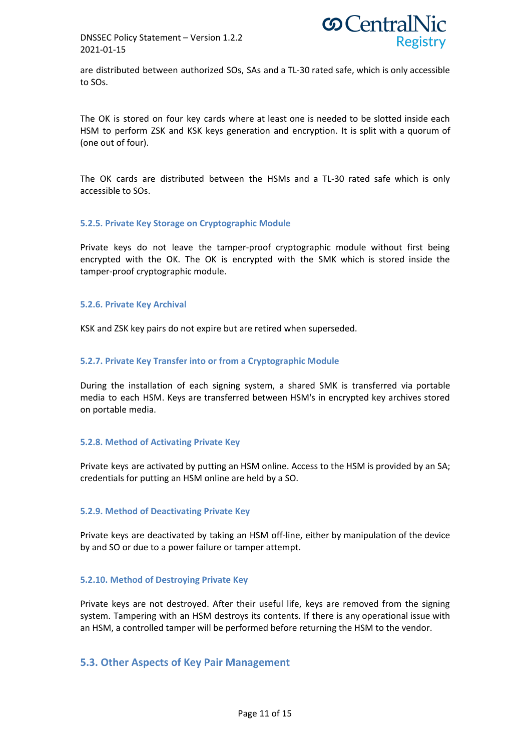

are distributed between authorized SOs, SAs and a TL-30 rated safe, which is only accessible to SOs.

The OK is stored on four key cards where at least one is needed to be slotted inside each HSM to perform ZSK and KSK keys generation and encryption. It is split with a quorum of (one out of four).

The OK cards are distributed between the HSMs and a TL-30 rated safe which is only accessible to SOs.

### **5.2.5. Private Key Storage on Cryptographic Module**

Private keys do not leave the tamper-proof cryptographic module without first being encrypted with the OK. The OK is encrypted with the SMK which is stored inside the tamper-proof cryptographic module.

#### **5.2.6. Private Key Archival**

KSK and ZSK key pairs do not expire but are retired when superseded.

### **5.2.7. Private Key Transfer into or from a Cryptographic Module**

During the installation of each signing system, a shared SMK is transferred via portable media to each HSM. Keys are transferred between HSM's in encrypted key archives stored on portable media.

#### **5.2.8. Method of Activating Private Key**

Private keys are activated by putting an HSM online. Access to the HSM is provided by an SA; credentials for putting an HSM online are held by a SO.

#### **5.2.9. Method of Deactivating Private Key**

Private keys are deactivated by taking an HSM off-line, either by manipulation of the device by and SO or due to a power failure or tamper attempt.

#### **5.2.10. Method of Destroying Private Key**

Private keys are not destroyed. After their useful life, keys are removed from the signing system. Tampering with an HSM destroys its contents. If there is any operational issue with an HSM, a controlled tamper will be performed before returning the HSM to the vendor.

### **5.3. Other Aspects of Key Pair Management**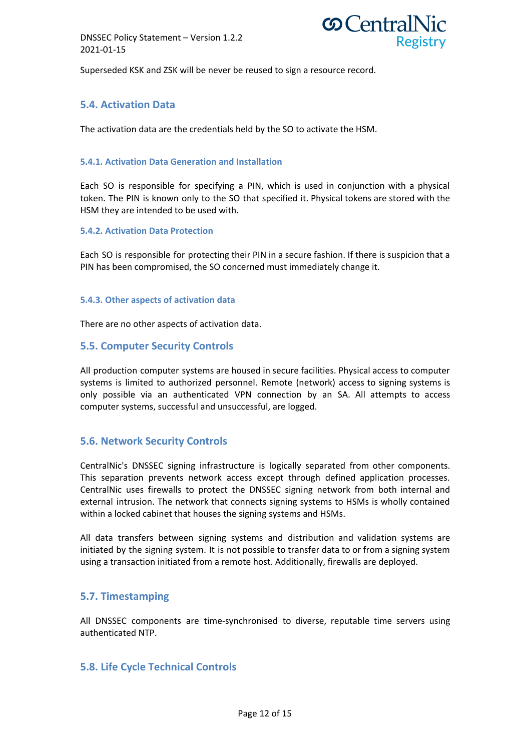

Superseded KSK and ZSK will be never be reused to sign a resource record.

# **5.4. Activation Data**

The activation data are the credentials held by the SO to activate the HSM.

### **5.4.1. Activation Data Generation and Installation**

Each SO is responsible for specifying a PIN, which is used in conjunction with a physical token. The PIN is known only to the SO that specified it. Physical tokens are stored with the HSM they are intended to be used with.

#### **5.4.2. Activation Data Protection**

Each SO is responsible for protecting their PIN in a secure fashion. If there is suspicion that a PIN has been compromised, the SO concerned must immediately change it.

### **5.4.3. Other aspects of activation data**

There are no other aspects of activation data.

### **5.5. Computer Security Controls**

All production computer systems are housed in secure facilities. Physical access to computer systems is limited to authorized personnel. Remote (network) access to signing systems is only possible via an authenticated VPN connection by an SA. All attempts to access computer systems, successful and unsuccessful, are logged.

# **5.6. Network Security Controls**

CentralNic's DNSSEC signing infrastructure is logically separated from other components. This separation prevents network access except through defined application processes. CentralNic uses firewalls to protect the DNSSEC signing network from both internal and external intrusion. The network that connects signing systems to HSMs is wholly contained within a locked cabinet that houses the signing systems and HSMs.

All data transfers between signing systems and distribution and validation systems are initiated by the signing system. It is not possible to transfer data to or from a signing system using a transaction initiated from a remote host. Additionally, firewalls are deployed.

# **5.7. Timestamping**

All DNSSEC components are time-synchronised to diverse, reputable time servers using authenticated NTP.

# **5.8. Life Cycle Technical Controls**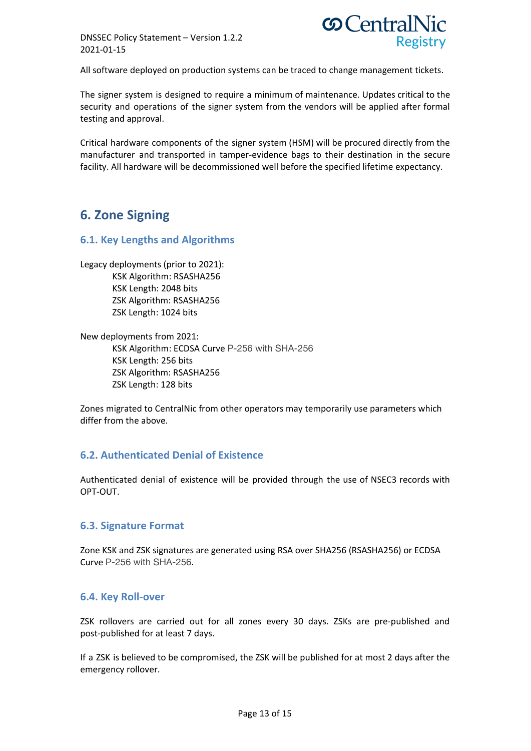

All software deployed on production systems can be traced to change management tickets.

The signer system is designed to require a minimum of maintenance. Updates critical to the security and operations of the signer system from the vendors will be applied after formal testing and approval.

Critical hardware components of the signer system (HSM) will be procured directly from the manufacturer and transported in tamper-evidence bags to their destination in the secure facility. All hardware will be decommissioned well before the specified lifetime expectancy.

# **6. Zone Signing**

# **6.1. Key Lengths and Algorithms**

Legacy deployments (prior to 2021): KSK Algorithm: RSASHA256 KSK Length: 2048 bits ZSK Algorithm: RSASHA256 ZSK Length: 1024 bits

New deployments from 2021: KSK Algorithm: ECDSA Curve P-256 with SHA-256 KSK Length: 256 bits ZSK Algorithm: RSASHA256 ZSK Length: 128 bits

Zones migrated to CentralNic from other operators may temporarily use parameters which differ from the above.

# **6.2. Authenticated Denial of Existence**

Authenticated denial of existence will be provided through the use of NSEC3 records with OPT-OUT.

# **6.3. Signature Format**

Zone KSK and ZSK signatures are generated using RSA over SHA256 (RSASHA256) or ECDSA Curve P-256 with SHA-256.

# **6.4. Key Roll-over**

ZSK rollovers are carried out for all zones every 30 days. ZSKs are pre-published and post-published for at least 7 days.

If a ZSK is believed to be compromised, the ZSK will be published for at most 2 days after the emergency rollover.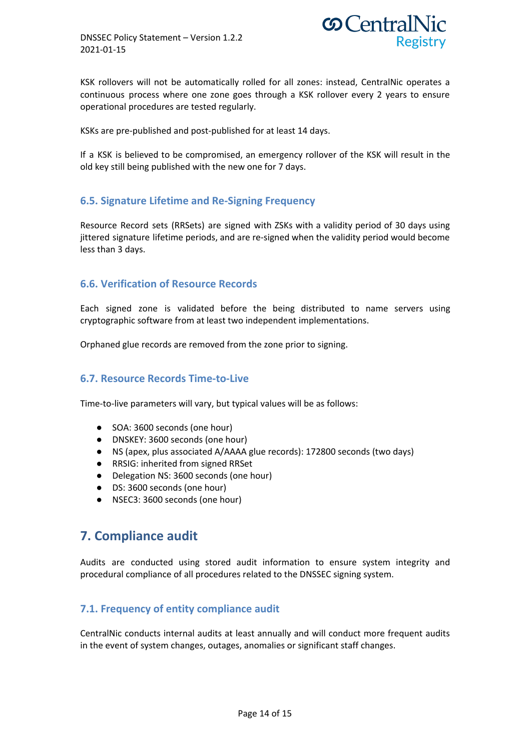

KSK rollovers will not be automatically rolled for all zones: instead, CentralNic operates a continuous process where one zone goes through a KSK rollover every 2 years to ensure operational procedures are tested regularly.

KSKs are pre-published and post-published for at least 14 days.

If a KSK is believed to be compromised, an emergency rollover of the KSK will result in the old key still being published with the new one for 7 days.

# **6.5. Signature Lifetime and Re-Signing Frequency**

Resource Record sets (RRSets) are signed with ZSKs with a validity period of 30 days using jittered signature lifetime periods, and are re-signed when the validity period would become less than 3 days.

# **6.6. Verification of Resource Records**

Each signed zone is validated before the being distributed to name servers using cryptographic software from at least two independent implementations.

Orphaned glue records are removed from the zone prior to signing.

# **6.7. Resource Records Time-to-Live**

Time-to-live parameters will vary, but typical values will be as follows:

- SOA: 3600 seconds (one hour)
- DNSKEY: 3600 seconds (one hour)
- NS (apex, plus associated A/AAAA glue records): 172800 seconds (two days)
- RRSIG: inherited from signed RRSet
- Delegation NS: 3600 seconds (one hour)
- DS: 3600 seconds (one hour)
- NSEC3: 3600 seconds (one hour)

# **7. Compliance audit**

Audits are conducted using stored audit information to ensure system integrity and procedural compliance of all procedures related to the DNSSEC signing system.

# **7.1. Frequency of entity compliance audit**

CentralNic conducts internal audits at least annually and will conduct more frequent audits in the event of system changes, outages, anomalies or significant staff changes.